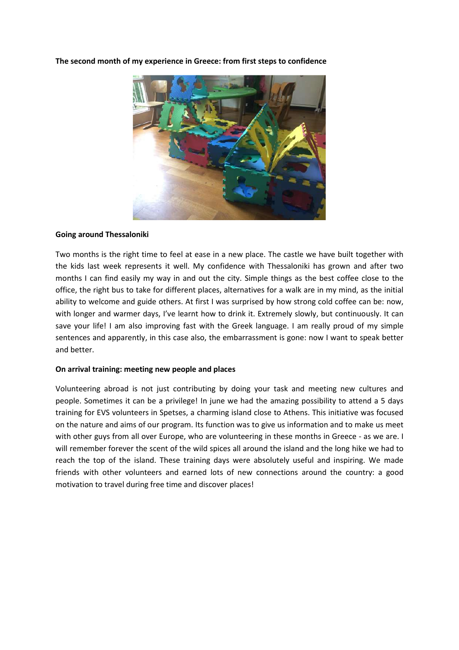The second month of my experience in Greece: from first steps to confidence



## Going around Thessaloniki

Two months is the right time to feel at ease in a new place. The castle we have built together with the kids last week represents it well. My confidence with Thessaloniki has grown and after two months I can find easily my way in and out the city. Simple things as the best coffee close to the office, the right bus to take for different places, alternatives for a walk are in my mind, as the initial ability to welcome and guide others. At first I was surprised by how strong cold coffee can be: now, with longer and warmer days, I've learnt how to drink it. Extremely slowly, but continuously. It can save your life! I am also improving fast with the Greek language. I am really proud of my simple sentences and apparently, in this case also, the embarrassment is gone: now I want to speak better and better.

## On arrival training: meeting new people and places

Volunteering abroad is not just contributing by doing your task and meeting new cultures and people. Sometimes it can be a privilege! In june we had the amazing possibility to attend a 5 days training for EVS volunteers in Spetses, a charming island close to Athens. This initiative was focused on the nature and aims of our program. Its function was to give us information and to make us meet with other guys from all over Europe, who are volunteering in these months in Greece - as we are. I will remember forever the scent of the wild spices all around the island and the long hike we had to reach the top of the island. These training days were absolutely useful and inspiring. We made friends with other volunteers and earned lots of new connections around the country: a good motivation to travel during free time and discover places!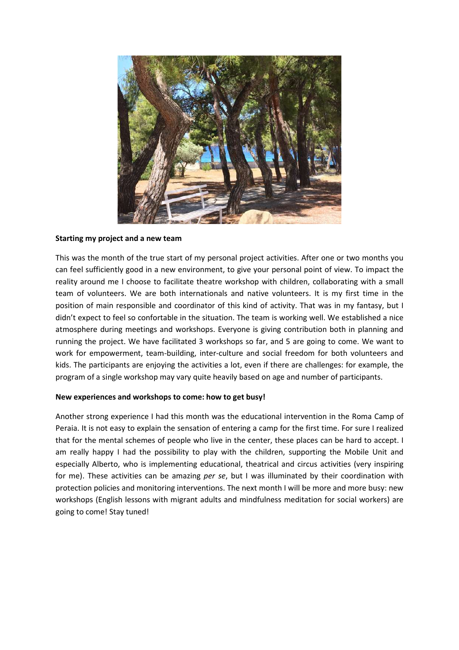

## Starting my project and a new team

This was the month of the true start of my personal project activities. After one or two months you can feel sufficiently good in a new environment, to give your personal point of view. To impact the reality around me I choose to facilitate theatre workshop with children, collaborating with a small team of volunteers. We are both internationals and native volunteers. It is my first time in the position of main responsible and coordinator of this kind of activity. That was in my fantasy, but I didn't expect to feel so confortable in the situation. The team is working well. We established a nice atmosphere during meetings and workshops. Everyone is giving contribution both in planning and running the project. We have facilitated 3 workshops so far, and 5 are going to come. We want to work for empowerment, team-building, inter-culture and social freedom for both volunteers and kids. The participants are enjoying the activities a lot, even if there are challenges: for example, the program of a single workshop may vary quite heavily based on age and number of participants.

## New experiences and workshops to come: how to get busy!

Another strong experience I had this month was the educational intervention in the Roma Camp of Peraia. It is not easy to explain the sensation of entering a camp for the first time. For sure I realized that for the mental schemes of people who live in the center, these places can be hard to accept. I am really happy I had the possibility to play with the children, supporting the Mobile Unit and especially Alberto, who is implementing educational, theatrical and circus activities (very inspiring for me). These activities can be amazing per se, but I was illuminated by their coordination with protection policies and monitoring interventions. The next month I will be more and more busy: new workshops (English lessons with migrant adults and mindfulness meditation for social workers) are going to come! Stay tuned!